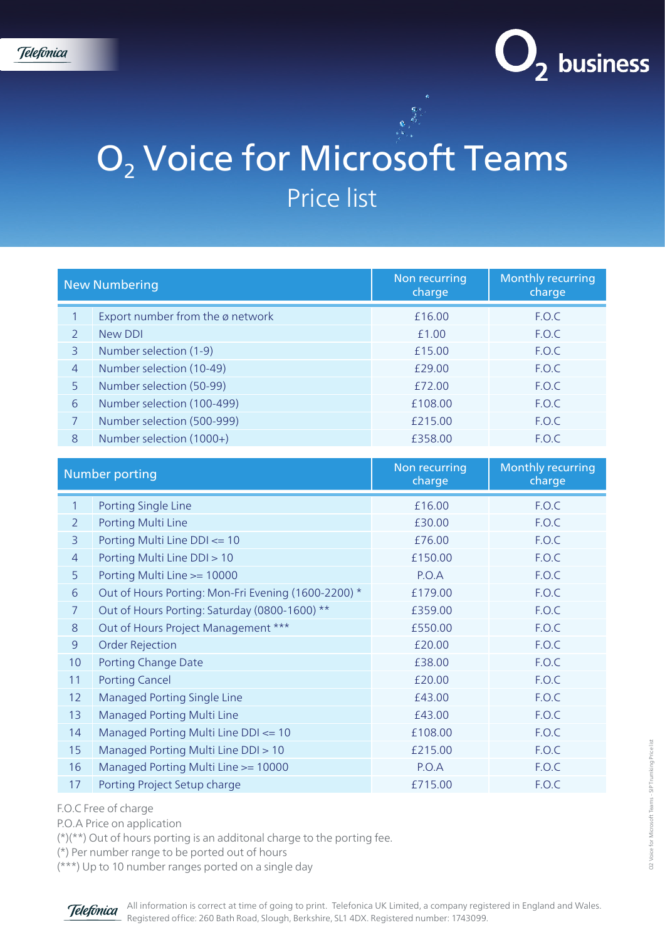

## O<sub>2</sub> Voice for Microsoft Teams Price list

| <b>New Numbering</b>  |                                                     | Non recurring<br>charge | <b>Monthly recurring</b><br>charge |
|-----------------------|-----------------------------------------------------|-------------------------|------------------------------------|
| $\mathbf{1}$          | Export number from the ø network                    | £16.00                  | F.O.C                              |
| $\overline{2}$        | <b>New DDI</b>                                      | £1.00                   | F.O.C                              |
| $\overline{3}$        | Number selection (1-9)                              | £15.00                  | F.O.C                              |
| $\overline{4}$        | Number selection (10-49)                            | £29.00                  | F.O.C                              |
| 5                     | Number selection (50-99)                            | £72.00                  | F.O.C                              |
| 6                     | Number selection (100-499)                          | £108.00                 | F.O.C                              |
| $\overline{7}$        | Number selection (500-999)                          | £215.00                 | F.O.C                              |
| 8                     | Number selection (1000+)                            | £358.00                 | F.O.C                              |
|                       |                                                     |                         |                                    |
| <b>Number porting</b> |                                                     | Non recurring<br>charge | <b>Monthly recurring</b><br>charge |
| $\mathbf{1}$          | Porting Single Line                                 | £16.00                  | F.O.C                              |
| $\overline{2}$        | Porting Multi Line                                  | £30.00                  | F.O.C                              |
| 3                     | Porting Multi Line DDI <= 10                        | £76.00                  | F.O.C                              |
| $\overline{4}$        | Porting Multi Line DDI > 10                         | £150.00                 | F.O.C                              |
| 5                     | Porting Multi Line >= 10000                         | P.O.A                   | F.O.C                              |
| 6                     | Out of Hours Porting: Mon-Fri Evening (1600-2200) * | £179.00                 | F.O.C                              |
| $\overline{7}$        | Out of Hours Porting: Saturday (0800-1600) **       | £359.00                 | F.O.C                              |
| $8\,$                 | Out of Hours Project Management ***                 | £550.00                 | F.O.C                              |
| $\overline{9}$        | <b>Order Rejection</b>                              | £20.00                  | F.O.C                              |
| 10                    | Porting Change Date                                 | £38.00                  | F.O.C                              |
| 11                    | <b>Porting Cancel</b>                               | £20.00                  | F.O.C                              |
| 12                    | <b>Managed Porting Single Line</b>                  | £43.00                  | F.O.C                              |
| 13                    | Managed Porting Multi Line                          | £43.00                  | F.O.C                              |
| 14                    | Managed Porting Multi Line DDI <= 10                | £108.00                 | F.O.C                              |
| 15                    | Managed Porting Multi Line DDI > 10                 | £215.00                 | F.O.C                              |
| 16                    | Managed Porting Multi Line >= 10000                 | P.O.A                   | F.O.C                              |
| 17                    | Porting Project Setup charge                        | £715.00                 | F.O.C                              |

F.O.C Free of charge

P.O.A Price on application

(\*)(\*\*) Out of hours porting is an additonal charge to the porting fee.

(\*) Per number range to be ported out of hours

(\*\*\*) Up to 10 number ranges ported on a single day

**Telefonica** 

All information is correct at time of going to print. Telefonica UK Limited, a company registered in England and Wales. Registered office: 260 Bath Road, Slough, Berkshire, SL1 4DX. Registered number: 1743099.